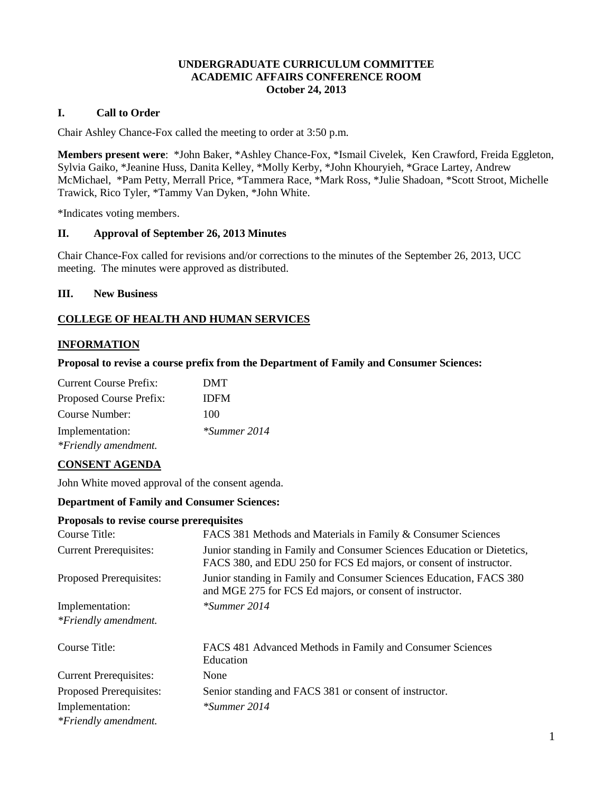### **UNDERGRADUATE CURRICULUM COMMITTEE ACADEMIC AFFAIRS CONFERENCE ROOM October 24, 2013**

## **I. Call to Order**

Chair Ashley Chance-Fox called the meeting to order at 3:50 p.m.

**Members present were**: \*John Baker, \*Ashley Chance-Fox, \*Ismail Civelek, Ken Crawford, Freida Eggleton, Sylvia Gaiko, \*Jeanine Huss, Danita Kelley, \*Molly Kerby, \*John Khouryieh, \*Grace Lartey, Andrew McMichael, \*Pam Petty, Merrall Price, \*Tammera Race, \*Mark Ross, \*Julie Shadoan, \*Scott Stroot, Michelle Trawick, Rico Tyler, \*Tammy Van Dyken, \*John White.

\*Indicates voting members.

#### **II. Approval of September 26, 2013 Minutes**

Chair Chance-Fox called for revisions and/or corrections to the minutes of the September 26, 2013, UCC meeting. The minutes were approved as distributed.

#### **III. New Business**

# **COLLEGE OF HEALTH AND HUMAN SERVICES**

#### **INFORMATION**

#### **Proposal to revise a course prefix from the Department of Family and Consumer Sciences:**

| <b>Current Course Prefix:</b> | DMT          |
|-------------------------------|--------------|
| Proposed Course Prefix:       | <b>IDFM</b>  |
| Course Number:                | 100          |
| Implementation:               | *Summer 2014 |
| *Friendly amendment.          |              |

#### **CONSENT AGENDA**

John White moved approval of the consent agenda.

## **Department of Family and Consumer Sciences:**

#### **Proposals to revise course prerequisites**

| Course Title:                 | FACS 381 Methods and Materials in Family & Consumer Sciences                                                                                  |
|-------------------------------|-----------------------------------------------------------------------------------------------------------------------------------------------|
| <b>Current Prerequisites:</b> | Junior standing in Family and Consumer Sciences Education or Dietetics,<br>FACS 380, and EDU 250 for FCS Ed majors, or consent of instructor. |
| Proposed Prerequisites:       | Junior standing in Family and Consumer Sciences Education, FACS 380<br>and MGE 275 for FCS Ed majors, or consent of instructor.               |
| Implementation:               | <i>*Summer 2014</i>                                                                                                                           |
| *Friendly amendment.          |                                                                                                                                               |
| Course Title:                 | FACS 481 Advanced Methods in Family and Consumer Sciences<br>Education                                                                        |
| <b>Current Prerequisites:</b> | None                                                                                                                                          |
| Proposed Prerequisites:       | Senior standing and FACS 381 or consent of instructor.                                                                                        |
| Implementation:               | $*$ Summer 2014                                                                                                                               |
| *Friendly amendment.          |                                                                                                                                               |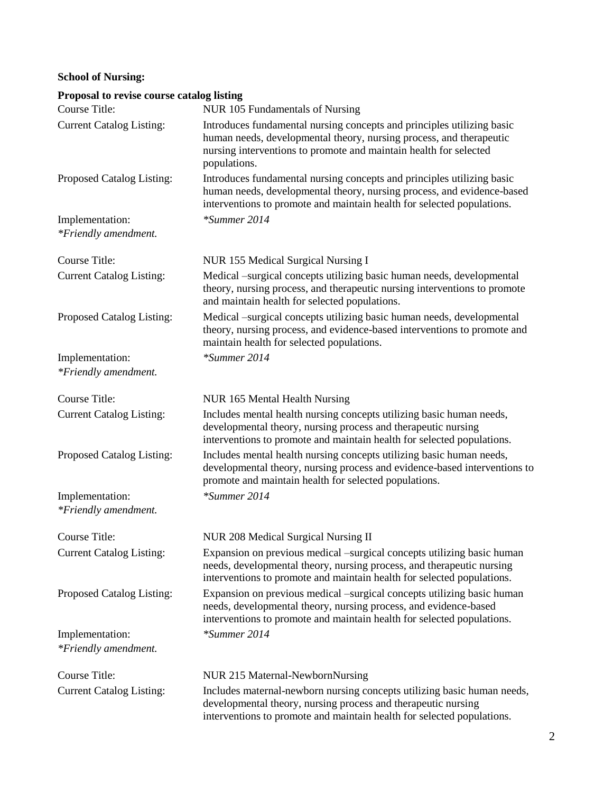# **School of Nursing:**

| Proposal to revise course catalog listing |                                                                                                                                                                                                                                    |
|-------------------------------------------|------------------------------------------------------------------------------------------------------------------------------------------------------------------------------------------------------------------------------------|
| <b>Course Title:</b>                      | NUR 105 Fundamentals of Nursing                                                                                                                                                                                                    |
| <b>Current Catalog Listing:</b>           | Introduces fundamental nursing concepts and principles utilizing basic<br>human needs, developmental theory, nursing process, and therapeutic<br>nursing interventions to promote and maintain health for selected<br>populations. |
| Proposed Catalog Listing:                 | Introduces fundamental nursing concepts and principles utilizing basic<br>human needs, developmental theory, nursing process, and evidence-based<br>interventions to promote and maintain health for selected populations.         |
| Implementation:                           | *Summer 2014                                                                                                                                                                                                                       |
| *Friendly amendment.                      |                                                                                                                                                                                                                                    |
| Course Title:                             | NUR 155 Medical Surgical Nursing I                                                                                                                                                                                                 |
| <b>Current Catalog Listing:</b>           | Medical -surgical concepts utilizing basic human needs, developmental<br>theory, nursing process, and therapeutic nursing interventions to promote<br>and maintain health for selected populations.                                |
| Proposed Catalog Listing:                 | Medical -surgical concepts utilizing basic human needs, developmental<br>theory, nursing process, and evidence-based interventions to promote and<br>maintain health for selected populations.                                     |
| Implementation:                           | *Summer 2014                                                                                                                                                                                                                       |
| *Friendly amendment.                      |                                                                                                                                                                                                                                    |
| <b>Course Title:</b>                      | NUR 165 Mental Health Nursing                                                                                                                                                                                                      |
| <b>Current Catalog Listing:</b>           | Includes mental health nursing concepts utilizing basic human needs,<br>developmental theory, nursing process and therapeutic nursing<br>interventions to promote and maintain health for selected populations.                    |
| Proposed Catalog Listing:                 | Includes mental health nursing concepts utilizing basic human needs,<br>developmental theory, nursing process and evidence-based interventions to<br>promote and maintain health for selected populations.                         |
| Implementation:<br>*Friendly amendment.   | *Summer 2014                                                                                                                                                                                                                       |
| Course Title:                             | NUR 208 Medical Surgical Nursing II                                                                                                                                                                                                |
| <b>Current Catalog Listing:</b>           | Expansion on previous medical –surgical concepts utilizing basic human<br>needs, developmental theory, nursing process, and therapeutic nursing<br>interventions to promote and maintain health for selected populations.          |
| Proposed Catalog Listing:                 | Expansion on previous medical –surgical concepts utilizing basic human<br>needs, developmental theory, nursing process, and evidence-based<br>interventions to promote and maintain health for selected populations.               |
| Implementation:                           | *Summer 2014                                                                                                                                                                                                                       |
| *Friendly amendment.                      |                                                                                                                                                                                                                                    |
| Course Title:                             | NUR 215 Maternal-NewbornNursing                                                                                                                                                                                                    |
| <b>Current Catalog Listing:</b>           | Includes maternal-newborn nursing concepts utilizing basic human needs,<br>developmental theory, nursing process and therapeutic nursing<br>interventions to promote and maintain health for selected populations.                 |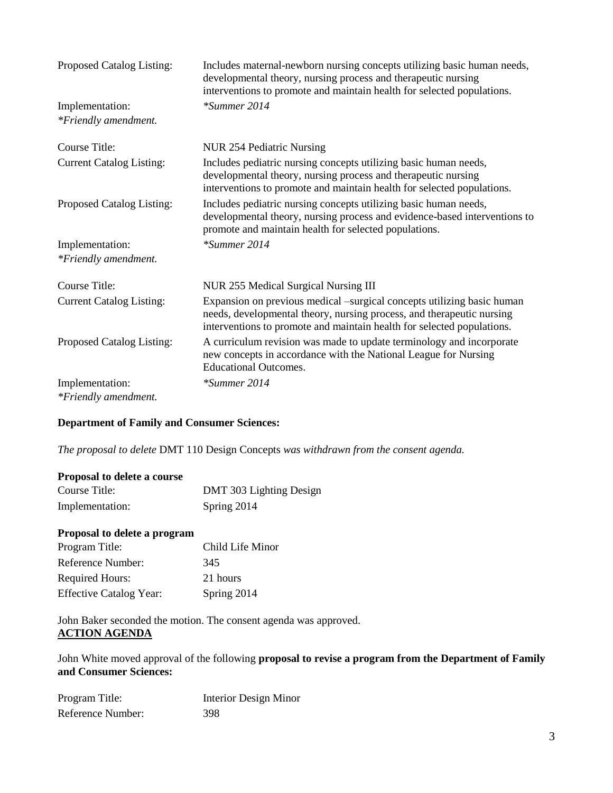| Proposed Catalog Listing:               | Includes maternal-newborn nursing concepts utilizing basic human needs,<br>developmental theory, nursing process and therapeutic nursing<br>interventions to promote and maintain health for selected populations.        |
|-----------------------------------------|---------------------------------------------------------------------------------------------------------------------------------------------------------------------------------------------------------------------------|
| Implementation:                         | $*$ Summer 2014                                                                                                                                                                                                           |
| *Friendly amendment.                    |                                                                                                                                                                                                                           |
| Course Title:                           | NUR 254 Pediatric Nursing                                                                                                                                                                                                 |
| <b>Current Catalog Listing:</b>         | Includes pediatric nursing concepts utilizing basic human needs,<br>developmental theory, nursing process and therapeutic nursing<br>interventions to promote and maintain health for selected populations.               |
| Proposed Catalog Listing:               | Includes pediatric nursing concepts utilizing basic human needs,<br>developmental theory, nursing process and evidence-based interventions to<br>promote and maintain health for selected populations.                    |
| Implementation:<br>*Friendly amendment. | $*$ Summer 2014                                                                                                                                                                                                           |
| Course Title:                           | NUR 255 Medical Surgical Nursing III                                                                                                                                                                                      |
| <b>Current Catalog Listing:</b>         | Expansion on previous medical –surgical concepts utilizing basic human<br>needs, developmental theory, nursing process, and therapeutic nursing<br>interventions to promote and maintain health for selected populations. |
| Proposed Catalog Listing:               | A curriculum revision was made to update terminology and incorporate<br>new concepts in accordance with the National League for Nursing<br><b>Educational Outcomes.</b>                                                   |
| Implementation:                         | *Summer 2014                                                                                                                                                                                                              |
| *Friendly amendment.                    |                                                                                                                                                                                                                           |

# **Department of Family and Consumer Sciences:**

*The proposal to delete* DMT 110 Design Concepts *was withdrawn from the consent agenda.*

| <b>Proposal to delete a course</b> |                         |
|------------------------------------|-------------------------|
| Course Title:                      | DMT 303 Lighting Design |
| Implementation:                    | Spring 2014             |

## **Proposal to delete a program**

| Program Title:                 | Child Life Minor |
|--------------------------------|------------------|
| Reference Number:              | 345              |
| <b>Required Hours:</b>         | 21 hours         |
| <b>Effective Catalog Year:</b> | Spring 2014      |

John Baker seconded the motion. The consent agenda was approved. **ACTION AGENDA**

John White moved approval of the following **proposal to revise a program from the Department of Family and Consumer Sciences:**

| Program Title:    | <b>Interior Design Minor</b> |
|-------------------|------------------------------|
| Reference Number: | 398                          |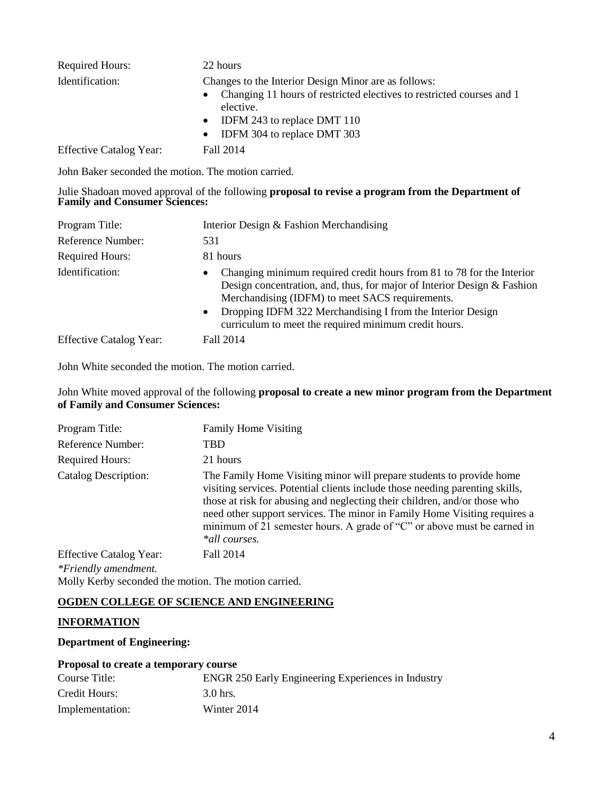| <b>Required Hours:</b>         | 22 hours                                                                                                                                                                                                                  |
|--------------------------------|---------------------------------------------------------------------------------------------------------------------------------------------------------------------------------------------------------------------------|
| Identification:                | Changes to the Interior Design Minor are as follows:<br>• Changing 11 hours of restricted electives to restricted courses and 1<br>elective.<br>• IDFM 243 to replace DMT 110<br>IDFM 304 to replace DMT 303<br>$\bullet$ |
| <b>Effective Catalog Year:</b> | Fall 2014                                                                                                                                                                                                                 |

John Baker seconded the motion. The motion carried.

#### Julie Shadoan moved approval of the following **proposal to revise a program from the Department of Family and Consumer Sciences:**

| Program Title:                 | Interior Design & Fashion Merchandising                                                                                                                                                                                                                                                                                                              |
|--------------------------------|------------------------------------------------------------------------------------------------------------------------------------------------------------------------------------------------------------------------------------------------------------------------------------------------------------------------------------------------------|
| Reference Number:              | 531                                                                                                                                                                                                                                                                                                                                                  |
| <b>Required Hours:</b>         | 81 hours                                                                                                                                                                                                                                                                                                                                             |
| Identification:                | Changing minimum required credit hours from 81 to 78 for the Interior<br>$\bullet$<br>Design concentration, and, thus, for major of Interior Design & Fashion<br>Merchandising (IDFM) to meet SACS requirements.<br>Dropping IDFM 322 Merchandising I from the Interior Design<br>$\bullet$<br>curriculum to meet the required minimum credit hours. |
| <b>Effective Catalog Year:</b> | Fall 2014                                                                                                                                                                                                                                                                                                                                            |

John White seconded the motion. The motion carried.

## John White moved approval of the following **proposal to create a new minor program from the Department of Family and Consumer Sciences:**

| Program Title:<br>Reference Number:<br><b>Required Hours:</b> | <b>Family Home Visiting</b><br>TBD<br>21 hours                                                                                                                                                                                                                                                                                                                                                             |
|---------------------------------------------------------------|------------------------------------------------------------------------------------------------------------------------------------------------------------------------------------------------------------------------------------------------------------------------------------------------------------------------------------------------------------------------------------------------------------|
| Catalog Description:                                          | The Family Home Visiting minor will prepare students to provide home<br>visiting services. Potential clients include those needing parenting skills,<br>those at risk for abusing and neglecting their children, and/or those who<br>need other support services. The minor in Family Home Visiting requires a<br>minimum of 21 semester hours. A grade of "C" or above must be earned in<br>*all courses. |
| <b>Effective Catalog Year:</b><br>*Friendly amendment.        | Fall 2014                                                                                                                                                                                                                                                                                                                                                                                                  |

Molly Kerby seconded the motion. The motion carried.

# **OGDEN COLLEGE OF SCIENCE AND ENGINEERING**

# **INFORMATION**

### **Department of Engineering:**

### **Proposal to create a temporary course**

| Course Title:   | <b>ENGR 250 Early Engineering Experiences in Industry</b> |
|-----------------|-----------------------------------------------------------|
| Credit Hours:   | 3.0 hrs.                                                  |
| Implementation: | Winter 2014                                               |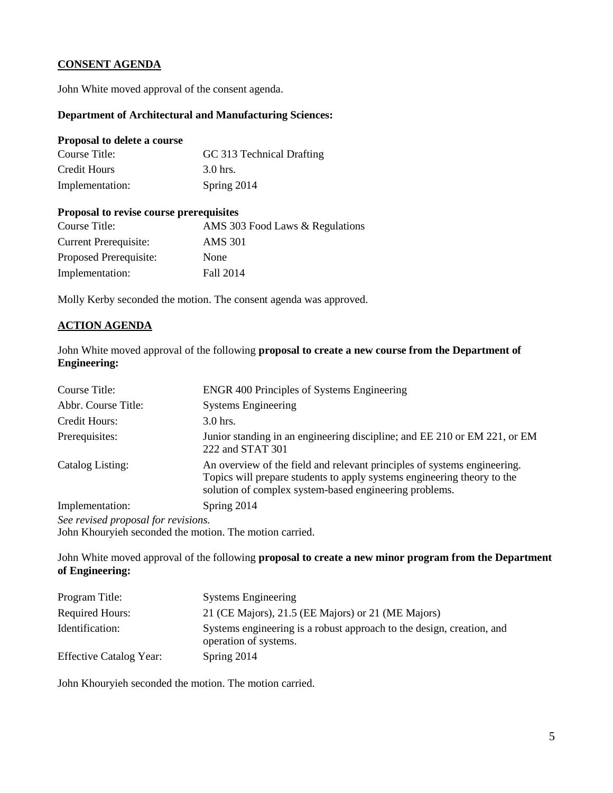# **CONSENT AGENDA**

John White moved approval of the consent agenda.

#### **Department of Architectural and Manufacturing Sciences:**

## **Proposal to delete a course**

| Course Title:   | GC 313 Technical Drafting |
|-----------------|---------------------------|
| Credit Hours    | 3.0 hrs.                  |
| Implementation: | Spring 2014               |

#### **Proposal to revise course prerequisites**

| Course Title:                | AMS 303 Food Laws & Regulations |
|------------------------------|---------------------------------|
| <b>Current Prerequisite:</b> | AMS 301                         |
| Proposed Prerequisite:       | None                            |
| Implementation:              | Fall 2014                       |

Molly Kerby seconded the motion. The consent agenda was approved.

## **ACTION AGENDA**

John White moved approval of the following **proposal to create a new course from the Department of Engineering:**

| Course Title:                                           | <b>ENGR 400 Principles of Systems Engineering</b>                                                                                                                                                             |
|---------------------------------------------------------|---------------------------------------------------------------------------------------------------------------------------------------------------------------------------------------------------------------|
| Abbr. Course Title:                                     | <b>Systems Engineering</b>                                                                                                                                                                                    |
| Credit Hours:                                           | $3.0$ hrs.                                                                                                                                                                                                    |
| Prerequisites:                                          | Junior standing in an engineering discipline; and EE 210 or EM 221, or EM<br>222 and STAT 301                                                                                                                 |
| Catalog Listing:                                        | An overview of the field and relevant principles of systems engineering.<br>Topics will prepare students to apply systems engineering theory to the<br>solution of complex system-based engineering problems. |
| Implementation:                                         | Spring 2014                                                                                                                                                                                                   |
| See revised proposal for revisions.                     |                                                                                                                                                                                                               |
| John Khouryieh seconded the motion. The motion carried. |                                                                                                                                                                                                               |

John White moved approval of the following **proposal to create a new minor program from the Department of Engineering:**

| Program Title:                 | <b>Systems Engineering</b>                                                                     |
|--------------------------------|------------------------------------------------------------------------------------------------|
| <b>Required Hours:</b>         | 21 (CE Majors), 21.5 (EE Majors) or 21 (ME Majors)                                             |
| Identification:                | Systems engineering is a robust approach to the design, creation, and<br>operation of systems. |
| <b>Effective Catalog Year:</b> | Spring 2014                                                                                    |

John Khouryieh seconded the motion. The motion carried.